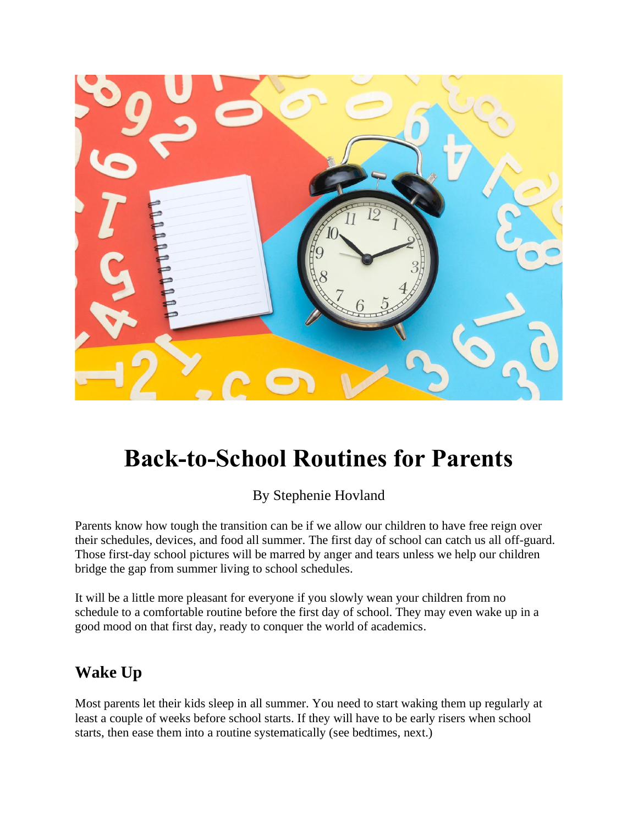

# **Back-to-School Routines for Parents**

By Stephenie Hovland

Parents know how tough the transition can be if we allow our children to have free reign over their schedules, devices, and food all summer. The first day of school can catch us all off-guard. Those first-day school pictures will be marred by anger and tears unless we help our children bridge the gap from summer living to school schedules.

It will be a little more pleasant for everyone if you slowly wean your children from no schedule to a comfortable routine before the first day of school. They may even wake up in a good mood on that first day, ready to conquer the world of academics.

## **Wake Up**

Most parents let their kids sleep in all summer. You need to start waking them up regularly at least a couple of weeks before school starts. If they will have to be early risers when school starts, then ease them into a routine systematically (see bedtimes, next.)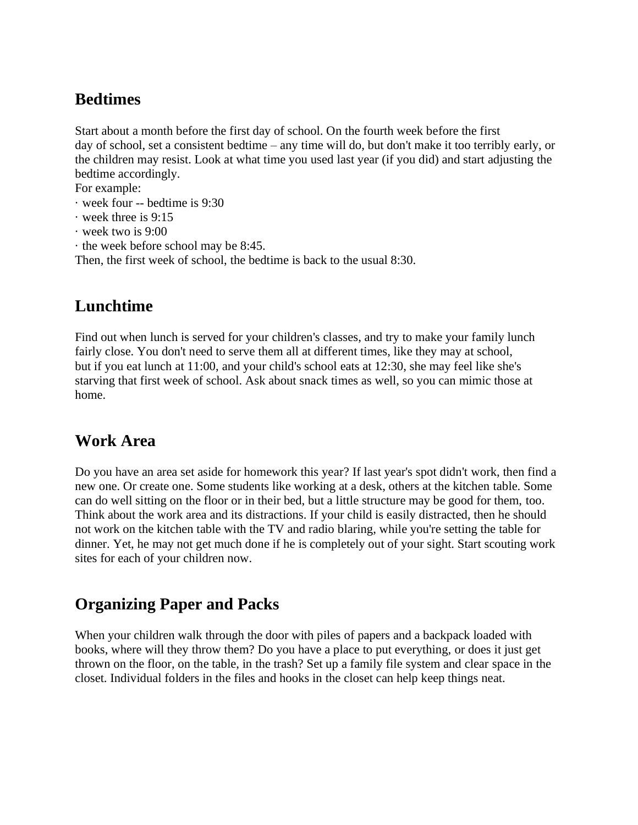## **Bedtimes**

Start about a month before the first day of school. On the fourth week before the first day of school, set a consistent bedtime – any time will do, but don't make it too terribly early, or the children may resist. Look at what time you used last year (if you did) and start adjusting the bedtime accordingly.

For example:

- · week four -- bedtime is 9:30
- · week three is 9:15
- · week two is 9:00
- · the week before school may be 8:45.

Then, the first week of school, the bedtime is back to the usual 8:30.

#### **Lunchtime**

Find out when lunch is served for your children's classes, and try to make your family lunch fairly close. You don't need to serve them all at different times, like they may at school, but if you eat lunch at 11:00, and your child's school eats at 12:30, she may feel like she's starving that first week of school. Ask about snack times as well, so you can mimic those at home.

#### **Work Area**

Do you have an area set aside for homework this year? If last year's spot didn't work, then find a new one. Or create one. Some students like working at a desk, others at the kitchen table. Some can do well sitting on the floor or in their bed, but a little structure may be good for them, too. Think about the work area and its distractions. If your child is easily distracted, then he should not work on the kitchen table with the TV and radio blaring, while you're setting the table for dinner. Yet, he may not get much done if he is completely out of your sight. Start scouting work sites for each of your children now.

## **Organizing Paper and Packs**

When your children walk through the door with piles of papers and a backpack loaded with books, where will they throw them? Do you have a place to put everything, or does it just get thrown on the floor, on the table, in the trash? Set up a family file system and clear space in the closet. Individual folders in the files and hooks in the closet can help keep things neat.